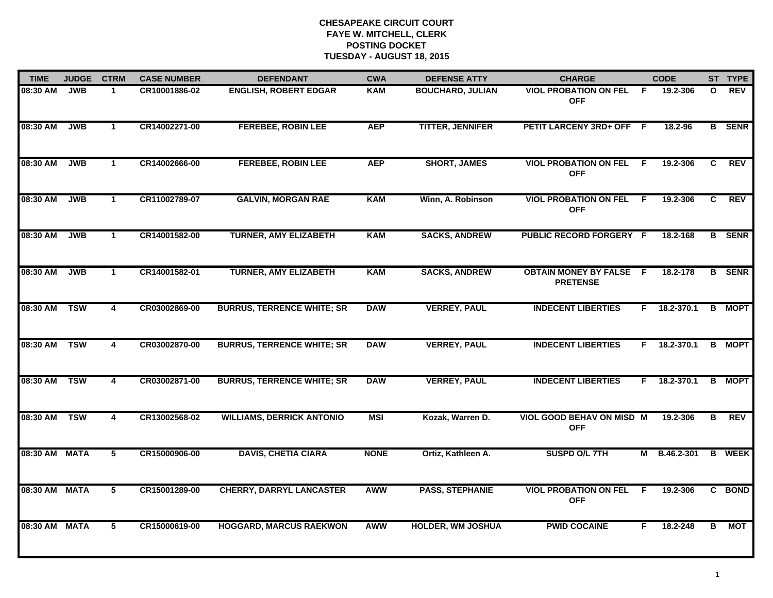| <b>TIME</b>   | <b>JUDGE</b> | <b>CTRM</b>             | <b>CASE NUMBER</b> | <b>DEFENDANT</b>                  | <b>CWA</b>  | <b>DEFENSE ATTY</b>      | <b>CHARGE</b>                                     |     | <b>CODE</b>        |              | ST TYPE       |
|---------------|--------------|-------------------------|--------------------|-----------------------------------|-------------|--------------------------|---------------------------------------------------|-----|--------------------|--------------|---------------|
| 08:30 AM      | <b>JWB</b>   | $\mathbf 1$             | CR10001886-02      | <b>ENGLISH, ROBERT EDGAR</b>      | <b>KAM</b>  | <b>BOUCHARD, JULIAN</b>  | <b>VIOL PROBATION ON FEL</b><br><b>OFF</b>        | -F  | 19.2-306           | $\mathbf{o}$ | REV           |
| 08:30 AM      | <b>JWB</b>   | $\mathbf{1}$            | CR14002271-00      | <b>FEREBEE, ROBIN LEE</b>         | <b>AEP</b>  | <b>TITTER, JENNIFER</b>  | PETIT LARCENY 3RD+ OFF F                          |     | 18.2-96            |              | <b>B</b> SENR |
| 08:30 AM      | <b>JWB</b>   | $\mathbf{1}$            | CR14002666-00      | <b>FEREBEE, ROBIN LEE</b>         | <b>AEP</b>  | <b>SHORT, JAMES</b>      | <b>VIOL PROBATION ON FEL</b><br><b>OFF</b>        | -F  | 19.2-306           | C            | <b>REV</b>    |
| 08:30 AM      | <b>JWB</b>   | $\mathbf 1$             | CR11002789-07      | <b>GALVIN, MORGAN RAE</b>         | <b>KAM</b>  | Winn, A. Robinson        | <b>VIOL PROBATION ON FEL</b><br><b>OFF</b>        | - F | 19.2-306           | C.           | <b>REV</b>    |
| 08:30 AM      | <b>JWB</b>   | $\mathbf{1}$            | CR14001582-00      | <b>TURNER, AMY ELIZABETH</b>      | <b>KAM</b>  | <b>SACKS, ANDREW</b>     | <b>PUBLIC RECORD FORGERY F</b>                    |     | 18.2-168           |              | <b>B</b> SENR |
| 08:30 AM      | <b>JWB</b>   | $\mathbf{1}$            | CR14001582-01      | <b>TURNER, AMY ELIZABETH</b>      | <b>KAM</b>  | <b>SACKS, ANDREW</b>     | <b>OBTAIN MONEY BY FALSE F</b><br><b>PRETENSE</b> |     | 18.2-178           |              | <b>B</b> SENR |
| 08:30 AM      | <b>TSW</b>   | $\overline{4}$          | CR03002869-00      | <b>BURRUS, TERRENCE WHITE; SR</b> | <b>DAW</b>  | <b>VERREY, PAUL</b>      | <b>INDECENT LIBERTIES</b>                         |     | $F = 18.2 - 370.1$ |              | <b>B</b> MOPT |
| 08:30 AM      | <b>TSW</b>   | 4                       | CR03002870-00      | <b>BURRUS, TERRENCE WHITE; SR</b> | <b>DAW</b>  | <b>VERREY, PAUL</b>      | <b>INDECENT LIBERTIES</b>                         |     | F 18.2-370.1       |              | <b>B</b> MOPT |
| 08:30 AM      | <b>TSW</b>   | 4                       | CR03002871-00      | <b>BURRUS, TERRENCE WHITE; SR</b> | <b>DAW</b>  | <b>VERREY, PAUL</b>      | <b>INDECENT LIBERTIES</b>                         | F.  | 18.2-370.1         | B            | <b>MOPT</b>   |
| 08:30 AM      | <b>TSW</b>   | $\overline{\mathbf{4}}$ | CR13002568-02      | <b>WILLIAMS, DERRICK ANTONIO</b>  | <b>MSI</b>  | Kozak, Warren D.         | <b>VIOL GOOD BEHAV ON MISD M</b><br><b>OFF</b>    |     | 19.2-306           | B            | <b>REV</b>    |
| 08:30 AM MATA |              | 5                       | CR15000906-00      | <b>DAVIS, CHETIA CIARA</b>        | <b>NONE</b> | Ortiz, Kathleen A.       | SUSPD O/L 7TH                                     | М   | B.46.2-301         | В            | <b>WEEK</b>   |
| 08:30 AM MATA |              | 5                       | CR15001289-00      | <b>CHERRY, DARRYL LANCASTER</b>   | AWW         | <b>PASS, STEPHANIE</b>   | <b>VIOL PROBATION ON FEL</b><br><b>OFF</b>        | F.  | 19.2-306           |              | C BOND        |
| 08:30 AM      | <b>MATA</b>  | 5                       | CR15000619-00      | <b>HOGGARD, MARCUS RAEKWON</b>    | <b>AWW</b>  | <b>HOLDER, WM JOSHUA</b> | <b>PWID COCAINE</b>                               | F   | 18.2-248           | В            | <b>MOT</b>    |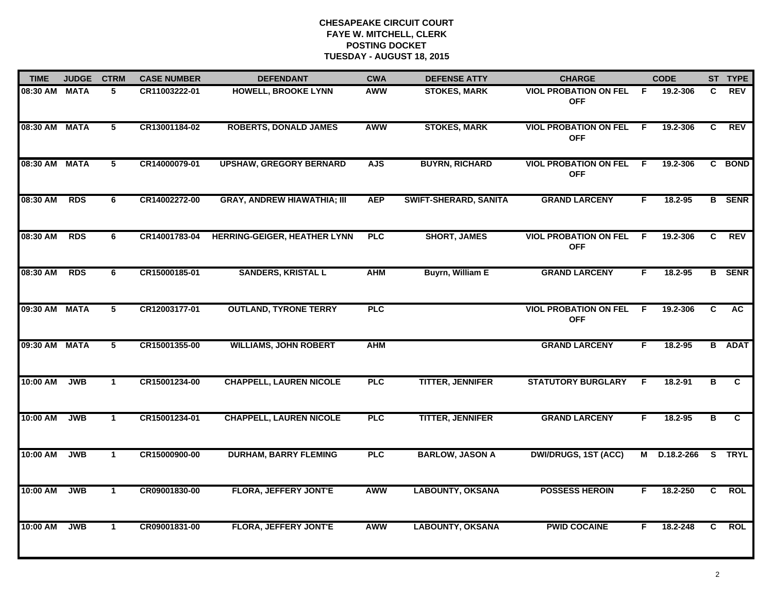| <b>TIME</b>   | <b>JUDGE</b> | <b>CTRM</b>             | <b>CASE NUMBER</b> | <b>DEFENDANT</b>                    | <b>CWA</b> | <b>DEFENSE ATTY</b>     | <b>CHARGE</b>                              |     | <b>CODE</b>  |    | ST TYPE       |
|---------------|--------------|-------------------------|--------------------|-------------------------------------|------------|-------------------------|--------------------------------------------|-----|--------------|----|---------------|
| 08:30 AM MATA |              | 5.                      | CR11003222-01      | <b>HOWELL, BROOKE LYNN</b>          | AWW        | <b>STOKES, MARK</b>     | <b>VIOL PROBATION ON FEL</b><br><b>OFF</b> | -F. | 19.2-306     | C. | <b>REV</b>    |
| 08:30 AM      | <b>MATA</b>  | $\overline{\mathbf{5}}$ | CR13001184-02      | <b>ROBERTS, DONALD JAMES</b>        | <b>AWW</b> | <b>STOKES, MARK</b>     | <b>VIOL PROBATION ON FEL</b><br><b>OFF</b> | -F  | 19.2-306     | C  | <b>REV</b>    |
| 08:30 AM      | <b>MATA</b>  | 5                       | CR14000079-01      | <b>UPSHAW, GREGORY BERNARD</b>      | <b>AJS</b> | <b>BUYRN, RICHARD</b>   | <b>VIOL PROBATION ON FEL</b><br><b>OFF</b> | -F  | 19.2-306     |    | C BOND        |
| 08:30 AM      | <b>RDS</b>   | 6                       | CR14002272-00      | <b>GRAY, ANDREW HIAWATHIA; III</b>  | <b>AEP</b> | SWIFT-SHERARD, SANITA   | <b>GRAND LARCENY</b>                       | F.  | 18.2-95      |    | <b>B</b> SENR |
| 08:30 AM      | <b>RDS</b>   | 6                       | CR14001783-04      | <b>HERRING-GEIGER, HEATHER LYNN</b> | <b>PLC</b> | <b>SHORT, JAMES</b>     | <b>VIOL PROBATION ON FEL</b><br><b>OFF</b> | F.  | 19.2-306     | C. | <b>REV</b>    |
| 08:30 AM      | <b>RDS</b>   | 6                       | CR15000185-01      | <b>SANDERS, KRISTAL L</b>           | <b>AHM</b> | <b>Buyrn, William E</b> | <b>GRAND LARCENY</b>                       | F.  | 18.2-95      |    | <b>B</b> SENR |
| 09:30 AM      | <b>MATA</b>  | $5\phantom{.0}$         | CR12003177-01      | <b>OUTLAND, TYRONE TERRY</b>        | <b>PLC</b> |                         | <b>VIOL PROBATION ON FEL</b><br><b>OFF</b> | -F  | 19.2-306     | C  | <b>AC</b>     |
| 09:30 AM      | <b>MATA</b>  | 5                       | CR15001355-00      | <b>WILLIAMS, JOHN ROBERT</b>        | <b>AHM</b> |                         | <b>GRAND LARCENY</b>                       | F   | 18.2-95      |    | <b>B</b> ADAT |
| 10:00 AM      | <b>JWB</b>   | $\overline{1}$          | CR15001234-00      | <b>CHAPPELL, LAUREN NICOLE</b>      | <b>PLC</b> | <b>TITTER, JENNIFER</b> | <b>STATUTORY BURGLARY</b>                  | E   | 18.2-91      | в  | C.            |
| 10:00 AM      | <b>JWB</b>   | $\mathbf{1}$            | CR15001234-01      | <b>CHAPPELL, LAUREN NICOLE</b>      | <b>PLC</b> | <b>TITTER, JENNIFER</b> | <b>GRAND LARCENY</b>                       | F.  | $18.2 - 95$  | B  | $\mathbf{c}$  |
| 10:00 AM      | <b>JWB</b>   | $\mathbf{1}$            | CR15000900-00      | <b>DURHAM, BARRY FLEMING</b>        | <b>PLC</b> | <b>BARLOW, JASON A</b>  | <b>DWI/DRUGS, 1ST (ACC)</b>                |     | M D.18.2-266 |    | S TRYL        |
| 10:00 AM      | <b>JWB</b>   | $\mathbf{1}$            | CR09001830-00      | <b>FLORA, JEFFERY JONT'E</b>        | <b>AWW</b> | <b>LABOUNTY, OKSANA</b> | <b>POSSESS HEROIN</b>                      | F.  | 18.2-250     | C  | <b>ROL</b>    |
| 10:00 AM      | <b>JWB</b>   | $\mathbf{1}$            | CR09001831-00      | <b>FLORA, JEFFERY JONT'E</b>        | <b>AWW</b> | <b>LABOUNTY, OKSANA</b> | <b>PWID COCAINE</b>                        | F.  | 18.2-248     | C. | <b>ROL</b>    |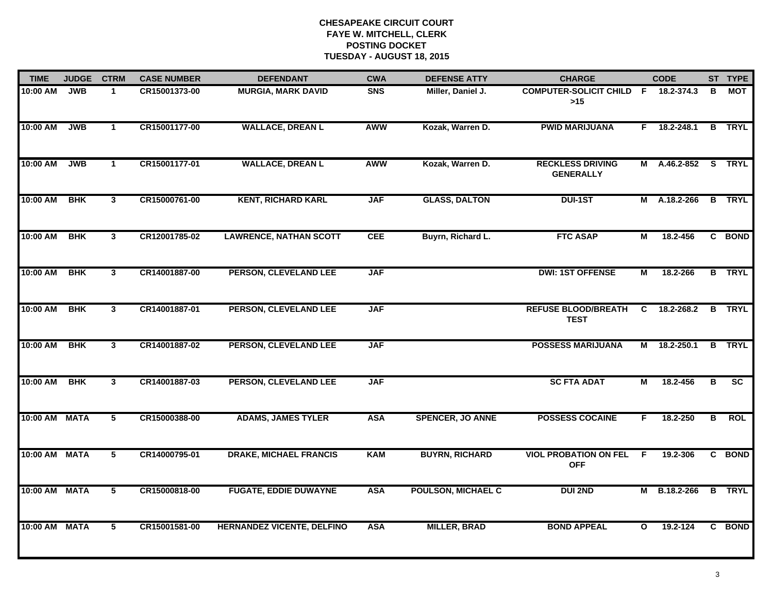| <b>TIME</b>   | <b>JUDGE</b> | <b>CTRM</b>             | <b>CASE NUMBER</b> | <b>DEFENDANT</b>                  | <b>CWA</b> | <b>DEFENSE ATTY</b>       | <b>CHARGE</b>                               |              | <b>CODE</b>         |   | ST TYPE       |
|---------------|--------------|-------------------------|--------------------|-----------------------------------|------------|---------------------------|---------------------------------------------|--------------|---------------------|---|---------------|
| 10:00 AM      | <b>JWB</b>   | $\mathbf 1$             | CR15001373-00      | <b>MURGIA, MARK DAVID</b>         | <b>SNS</b> | Miller, Daniel J.         | <b>COMPUTER-SOLICIT CHILD F</b><br>>15      |              | 18.2-374.3          | В | MOT           |
| 10:00 AM      | <b>JWB</b>   | $\mathbf{1}$            | CR15001177-00      | <b>WALLACE, DREAN L</b>           | AWW        | Kozak, Warren D.          | <b>PWID MARIJUANA</b>                       |              | $F$ 18.2-248.1      |   | <b>B</b> TRYL |
| 10:00 AM      | <b>JWB</b>   | $\mathbf{1}$            | CR15001177-01      | <b>WALLACE, DREAN L</b>           | <b>AWW</b> | Kozak, Warren D.          | <b>RECKLESS DRIVING</b><br><b>GENERALLY</b> |              | M A.46.2-852 S TRYL |   |               |
| 10:00 AM      | <b>BHK</b>   | $\mathbf{3}$            | CR15000761-00      | <b>KENT, RICHARD KARL</b>         | <b>JAF</b> | <b>GLASS, DALTON</b>      | <b>DUI-1ST</b>                              |              | M A.18.2-266        |   | <b>B</b> TRYL |
| 10:00 AM      | <b>BHK</b>   | $\mathbf{3}$            | CR12001785-02      | <b>LAWRENCE, NATHAN SCOTT</b>     | <b>CEE</b> | Buyrn, Richard L.         | <b>FTC ASAP</b>                             | М            | 18.2-456            |   | C BOND        |
| 10:00 AM      | <b>BHK</b>   | $\mathbf{3}$            | CR14001887-00      | PERSON, CLEVELAND LEE             | <b>JAF</b> |                           | <b>DWI: 1ST OFFENSE</b>                     | М            | 18.2-266            |   | <b>B</b> TRYL |
| 10:00 AM      | <b>BHK</b>   | 3                       | CR14001887-01      | PERSON, CLEVELAND LEE             | <b>JAF</b> |                           | <b>REFUSE BLOOD/BREATH</b><br><b>TEST</b>   | C            | 18.2-268.2          |   | <b>B</b> TRYL |
| 10:00 AM      | <b>BHK</b>   | 3                       | CR14001887-02      | PERSON, CLEVELAND LEE             | <b>JAF</b> |                           | <b>POSSESS MARIJUANA</b>                    |              | M 18.2-250.1        |   | <b>B</b> TRYL |
| 10:00 AM      | <b>BHK</b>   | $\mathbf{3}$            | CR14001887-03      | PERSON, CLEVELAND LEE             | <b>JAF</b> |                           | <b>SC FTA ADAT</b>                          | М            | 18.2-456            | в | SC            |
| 10:00 AM      | <b>MATA</b>  | $\overline{\mathbf{5}}$ | CR15000388-00      | <b>ADAMS, JAMES TYLER</b>         | <b>ASA</b> | <b>SPENCER, JO ANNE</b>   | <b>POSSESS COCAINE</b>                      | F.           | $18.2 - 250$        | В | <b>ROL</b>    |
| 10:00 AM MATA |              | $5\overline{)}$         | CR14000795-01      | <b>DRAKE, MICHAEL FRANCIS</b>     | <b>KAM</b> | <b>BUYRN, RICHARD</b>     | <b>VIOL PROBATION ON FEL</b><br><b>OFF</b>  | -F           | 19.2-306            |   | C BOND        |
| 10:00 AM      | <b>MATA</b>  | $\overline{5}$          | CR15000818-00      | <b>FUGATE, EDDIE DUWAYNE</b>      | <b>ASA</b> | <b>POULSON, MICHAEL C</b> | <b>DUI 2ND</b>                              |              | M B.18.2-266        |   | <b>B</b> TRYL |
| 10:00 AM MATA |              | 5                       | CR15001581-00      | <b>HERNANDEZ VICENTE, DELFINO</b> | <b>ASA</b> | <b>MILLER, BRAD</b>       | <b>BOND APPEAL</b>                          | $\mathbf{o}$ | 19.2-124            |   | C BOND        |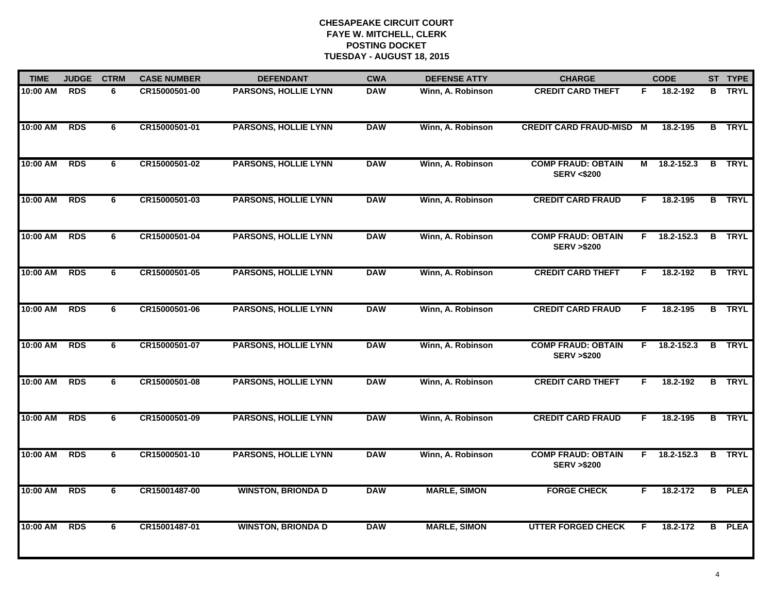| <b>TIME</b> | <b>JUDGE</b><br><b>CTRM</b> |   | <b>CASE NUMBER</b> | <b>DEFENDANT</b>            | <b>CWA</b> | <b>DEFENSE ATTY</b> | <b>CHARGE</b>                                      | <b>CODE</b> |                | ST TYPE       |
|-------------|-----------------------------|---|--------------------|-----------------------------|------------|---------------------|----------------------------------------------------|-------------|----------------|---------------|
| 10:00 AM    | <b>RDS</b>                  | 6 | CR15000501-00      | <b>PARSONS, HOLLIE LYNN</b> | <b>DAW</b> | Winn, A. Robinson   | <b>CREDIT CARD THEFT</b>                           | F.          | 18.2-192       | <b>B</b> TRYL |
| 10:00 AM    | <b>RDS</b>                  | 6 | CR15000501-01      | <b>PARSONS, HOLLIE LYNN</b> | <b>DAW</b> | Winn, A. Robinson   | <b>CREDIT CARD FRAUD-MISD M</b>                    |             | 18.2-195       | <b>B</b> TRYL |
| 10:00 AM    | <b>RDS</b>                  | 6 | CR15000501-02      | <b>PARSONS, HOLLIE LYNN</b> | <b>DAW</b> | Winn, A. Robinson   | <b>COMP FRAUD: OBTAIN</b><br><b>SERV &lt;\$200</b> |             | M 18.2-152.3   | <b>B</b> TRYL |
| 10:00 AM    | <b>RDS</b>                  | 6 | CR15000501-03      | <b>PARSONS, HOLLIE LYNN</b> | <b>DAW</b> | Winn, A. Robinson   | <b>CREDIT CARD FRAUD</b>                           | F.          | 18.2-195       | <b>B</b> TRYL |
| 10:00 AM    | <b>RDS</b>                  | 6 | CR15000501-04      | <b>PARSONS, HOLLIE LYNN</b> | <b>DAW</b> | Winn, A. Robinson   | <b>COMP FRAUD: OBTAIN</b><br><b>SERV &gt;\$200</b> |             | F 18.2-152.3   | <b>B</b> TRYL |
| 10:00 AM    | <b>RDS</b>                  | 6 | CR15000501-05      | <b>PARSONS, HOLLIE LYNN</b> | <b>DAW</b> | Winn, A. Robinson   | <b>CREDIT CARD THEFT</b>                           | F.          | 18.2-192       | <b>B</b> TRYL |
| 10:00 AM    | <b>RDS</b>                  | 6 | CR15000501-06      | <b>PARSONS, HOLLIE LYNN</b> | <b>DAW</b> | Winn, A. Robinson   | <b>CREDIT CARD FRAUD</b>                           | F.          | 18.2-195       | <b>B</b> TRYL |
| 10:00 AM    | <b>RDS</b>                  | 6 | CR15000501-07      | <b>PARSONS, HOLLIE LYNN</b> | <b>DAW</b> | Winn, A. Robinson   | <b>COMP FRAUD: OBTAIN</b><br><b>SERV &gt;\$200</b> | F.          | 18.2-152.3     | <b>B</b> TRYL |
| 10:00 AM    | <b>RDS</b>                  | 6 | CR15000501-08      | <b>PARSONS, HOLLIE LYNN</b> | <b>DAW</b> | Winn, A. Robinson   | <b>CREDIT CARD THEFT</b>                           | F           | 18.2-192       | <b>B</b> TRYL |
| 10:00 AM    | <b>RDS</b>                  | 6 | CR15000501-09      | <b>PARSONS, HOLLIE LYNN</b> | <b>DAW</b> | Winn, A. Robinson   | <b>CREDIT CARD FRAUD</b>                           | F.          | 18.2-195       | <b>B</b> TRYL |
| 10:00 AM    | <b>RDS</b>                  | 6 | CR15000501-10      | <b>PARSONS, HOLLIE LYNN</b> | <b>DAW</b> | Winn, A. Robinson   | <b>COMP FRAUD: OBTAIN</b><br><b>SERV &gt;\$200</b> |             | $F$ 18.2-152.3 | <b>B</b> TRYL |
| 10:00 AM    | <b>RDS</b>                  | 6 | CR15001487-00      | <b>WINSTON, BRIONDA D</b>   | <b>DAW</b> | <b>MARLE, SIMON</b> | <b>FORGE CHECK</b>                                 | F.          | 18.2-172       | <b>B</b> PLEA |
| 10:00 AM    | <b>RDS</b>                  | 6 | CR15001487-01      | <b>WINSTON, BRIONDA D</b>   | <b>DAW</b> | <b>MARLE, SIMON</b> | <b>UTTER FORGED CHECK</b>                          | F.          | 18.2-172       | <b>B</b> PLEA |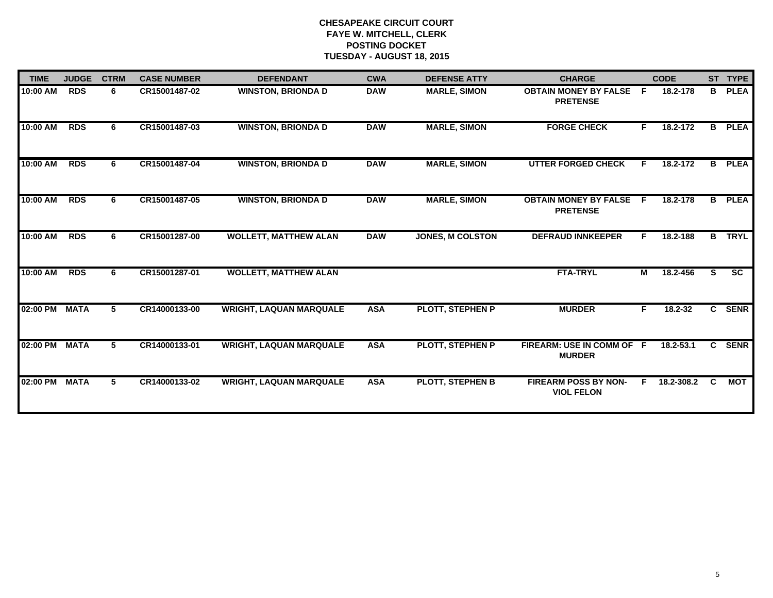| <b>TIME</b> | <b>JUDGE</b> | <b>CTRM</b><br><b>CASE NUMBER</b> |               | <b>DEFENDANT</b>               | <b>CWA</b> | <b>DEFENSE ATTY</b>     | <b>CHARGE</b>                                    | <b>CODE</b> |               |                | ST TYPE                  |
|-------------|--------------|-----------------------------------|---------------|--------------------------------|------------|-------------------------|--------------------------------------------------|-------------|---------------|----------------|--------------------------|
| 10:00 AM    | <b>RDS</b>   | 6                                 | CR15001487-02 | <b>WINSTON, BRIONDA D</b>      | <b>DAW</b> | <b>MARLE, SIMON</b>     | <b>OBTAIN MONEY BY FALSE</b><br><b>PRETENSE</b>  | - F         | 18.2-178      | B              | <b>PLEA</b>              |
| 10:00 AM    | <b>RDS</b>   | 6                                 | CR15001487-03 | <b>WINSTON, BRIONDA D</b>      | <b>DAW</b> | <b>MARLE, SIMON</b>     | <b>FORGE CHECK</b>                               | F.          | 18.2-172      | B              | <b>PLEA</b>              |
| 10:00 AM    | <b>RDS</b>   | 6                                 | CR15001487-04 | <b>WINSTON, BRIONDA D</b>      | <b>DAW</b> | <b>MARLE, SIMON</b>     | <b>UTTER FORGED CHECK</b>                        |             | 18.2-172      | B              | <b>PLEA</b>              |
| 10:00 AM    | <b>RDS</b>   | 6                                 | CR15001487-05 | <b>WINSTON, BRIONDA D</b>      | <b>DAW</b> | <b>MARLE, SIMON</b>     | <b>OBTAIN MONEY BY FALSE</b><br><b>PRETENSE</b>  | -F          | 18.2-178      |                | <b>B</b> PLEA            |
| 10:00 AM    | <b>RDS</b>   | 6                                 | CR15001287-00 | <b>WOLLETT, MATTHEW ALAN</b>   | <b>DAW</b> | <b>JONES, M COLSTON</b> | <b>DEFRAUD INNKEEPER</b>                         | F.          | 18.2-188      | B              | <b>TRYL</b>              |
| 10:00 AM    | <b>RDS</b>   | 6                                 | CR15001287-01 | <b>WOLLETT, MATTHEW ALAN</b>   |            |                         | <b>FTA-TRYL</b>                                  | М           | 18.2-456      | S.             | $\overline{\mathsf{sc}}$ |
| 02:00 PM    | <b>MATA</b>  | 5                                 | CR14000133-00 | <b>WRIGHT, LAQUAN MARQUALE</b> | <b>ASA</b> | <b>PLOTT, STEPHEN P</b> | <b>MURDER</b>                                    | F.          | $18.2 - 32$   |                | C SENR                   |
| 02:00 PM    | <b>MATA</b>  | 5                                 | CR14000133-01 | <b>WRIGHT, LAQUAN MARQUALE</b> | <b>ASA</b> | <b>PLOTT, STEPHEN P</b> | FIREARM: USE IN COMM OF F<br><b>MURDER</b>       |             | $18.2 - 53.1$ | $\overline{c}$ | <b>SENR</b>              |
| 02:00 PM    | <b>MATA</b>  | 5                                 | CR14000133-02 | <b>WRIGHT, LAQUAN MARQUALE</b> | <b>ASA</b> | <b>PLOTT, STEPHEN B</b> | <b>FIREARM POSS BY NON-</b><br><b>VIOL FELON</b> |             | 18.2-308.2    | C              | MOT                      |